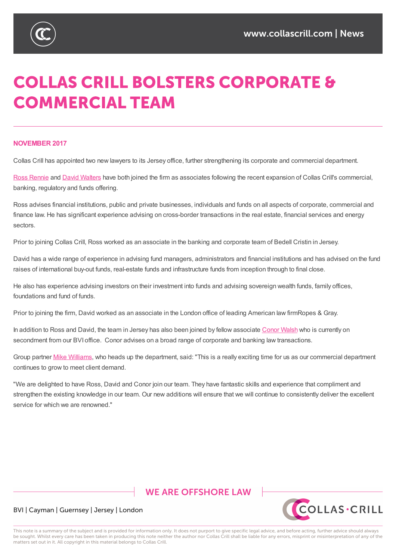

# **COLLAS CRILL BOLSTERS CORPORATE & COMMERCIAL TEAM**

### **NOVEMBER 2017**

Collas Crill has appointed two new lawyers to its Jersey office, further strengthening its corporate and commercial department.

Ross Rennie and David Walters have both joined the firm as associates following the recent expansion of Collas Crill's commercial, banking, regulatory and funds offering.

Ross advises financial institutions, public and private businesses, individuals and funds on all aspects of corporate, commercial and [finance](https://www.collascrill.com/who-we-are/r/ross-rennie/) law. He has [significant](https://www.collascrill.com/who-we-are/w/david-walters/) experience advising on cross-border transactions in the real estate, financial services and energy sectors.

Prior to joining Collas Crill, Ross worked as an associate in the banking and corporate team of Bedell Cristin in Jersey.

David has a wide range of experience in advising fund managers, administrators and financial institutions and has advised on the fund raises of international buy-out funds, real-estate funds and infrastructure funds from inception through to final close.

He also has experience advising investors on their investment into funds and advising sovereign wealth funds, family offices, foundations and fund of funds.

Prior to joining the firm, David worked as an associate in the London office of leading American law firmRopes & Gray.

In addition to Ross and David, the team in Jersey has also been joined by fellow associate Conor Walsh who is currently on secondment from our BVI office. Conor advises on a broad range of corporate and banking law transactions.

Group partner Mike Williams, who heads up the department, said: "This is a really exciting [time](https://www.collascrill.com/who-we-are/w/conor-walsh/) for us as our commercial department continues to grow to meet client demand.

"We are delighted to have Ross, David and Conor join our team. They have fantastic skills and experience that compliment and strengthen the [existing](https://www.collascrill.com/who-we-are/w/mike-williams/) knowledge in our team. Our new additions will ensure that we will continue to consistently deliver the excellent service for which we are renowned."

# **WE ARE OFFSHORE LAW**



## BVI | Cayman | Guernsey | Jersey | London

This note is a summary of the subject and is provided for information only. It does not purport to give specific legal advice, and before acting, further advice should always be sought. Whilst every care has been taken in producing this note neither the author nor Collas Crill shall be liable for any errors, misprint or misinterpretation of any of the matters set out in it. All copyright in this material belongs to Collas Crill.